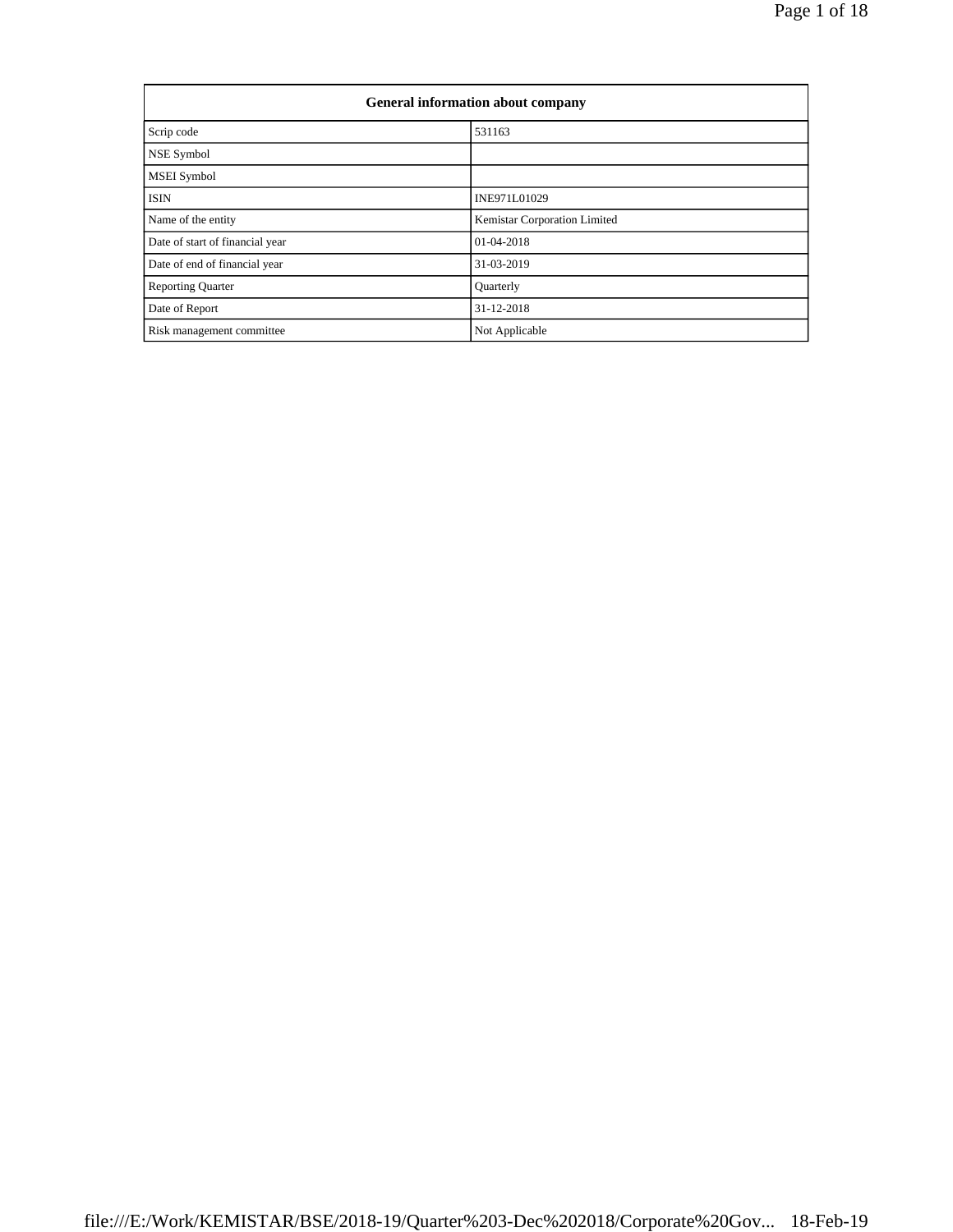| <b>General information about company</b> |                              |  |  |  |  |  |  |
|------------------------------------------|------------------------------|--|--|--|--|--|--|
| Scrip code                               | 531163                       |  |  |  |  |  |  |
| NSE Symbol                               |                              |  |  |  |  |  |  |
| <b>MSEI</b> Symbol                       |                              |  |  |  |  |  |  |
| <b>ISIN</b>                              | INE971L01029                 |  |  |  |  |  |  |
| Name of the entity                       | Kemistar Corporation Limited |  |  |  |  |  |  |
| Date of start of financial year          | 01-04-2018                   |  |  |  |  |  |  |
| Date of end of financial year            | 31-03-2019                   |  |  |  |  |  |  |
| <b>Reporting Quarter</b>                 | Quarterly                    |  |  |  |  |  |  |
| Date of Report                           | 31-12-2018                   |  |  |  |  |  |  |
| Risk management committee                | Not Applicable               |  |  |  |  |  |  |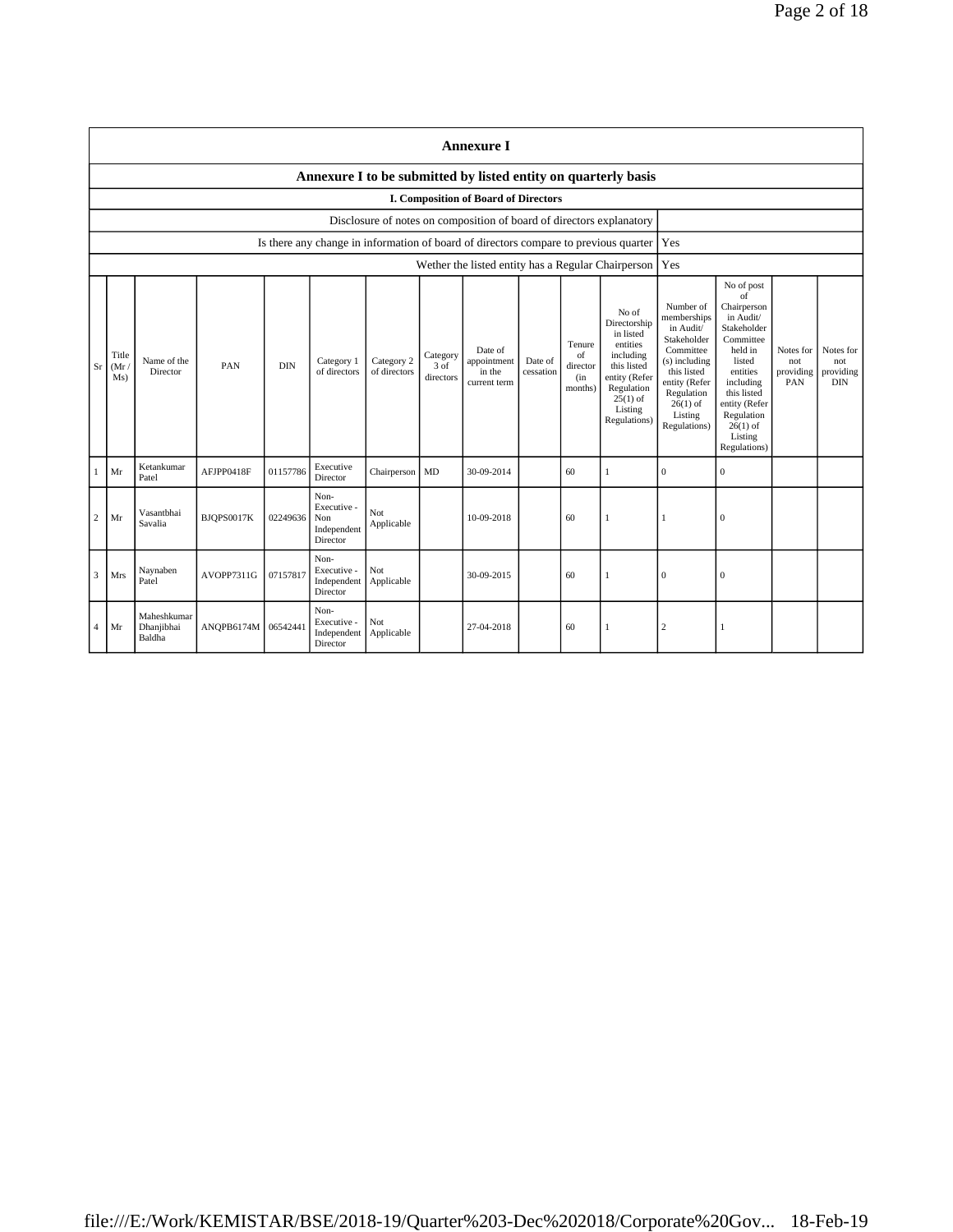|                | <b>Annexure I</b>                                                                                                                                                                                                                                                                                                                                                                                                                                  |                                     |            |          |                                                       |                   |                                                                                                                                                                           |                                                                                                                                                                                                               |                                      |                                             |                                                                                      |              |                  |  |  |
|----------------|----------------------------------------------------------------------------------------------------------------------------------------------------------------------------------------------------------------------------------------------------------------------------------------------------------------------------------------------------------------------------------------------------------------------------------------------------|-------------------------------------|------------|----------|-------------------------------------------------------|-------------------|---------------------------------------------------------------------------------------------------------------------------------------------------------------------------|---------------------------------------------------------------------------------------------------------------------------------------------------------------------------------------------------------------|--------------------------------------|---------------------------------------------|--------------------------------------------------------------------------------------|--------------|------------------|--|--|
|                | Annexure I to be submitted by listed entity on quarterly basis                                                                                                                                                                                                                                                                                                                                                                                     |                                     |            |          |                                                       |                   |                                                                                                                                                                           |                                                                                                                                                                                                               |                                      |                                             |                                                                                      |              |                  |  |  |
|                |                                                                                                                                                                                                                                                                                                                                                                                                                                                    |                                     |            |          |                                                       |                   |                                                                                                                                                                           | I. Composition of Board of Directors                                                                                                                                                                          |                                      |                                             |                                                                                      |              |                  |  |  |
|                |                                                                                                                                                                                                                                                                                                                                                                                                                                                    |                                     |            |          |                                                       |                   |                                                                                                                                                                           | Disclosure of notes on composition of board of directors explanatory                                                                                                                                          |                                      |                                             |                                                                                      |              |                  |  |  |
|                |                                                                                                                                                                                                                                                                                                                                                                                                                                                    |                                     |            |          |                                                       |                   |                                                                                                                                                                           |                                                                                                                                                                                                               |                                      |                                             | Is there any change in information of board of directors compare to previous quarter | Yes          |                  |  |  |
|                |                                                                                                                                                                                                                                                                                                                                                                                                                                                    |                                     |            |          |                                                       |                   |                                                                                                                                                                           |                                                                                                                                                                                                               |                                      |                                             | Wether the listed entity has a Regular Chairperson                                   | Yes          |                  |  |  |
| Sr             | No of<br>Directorship<br>in listed<br>Tenure<br>entities<br>Date of<br>Category<br>including<br>Title<br>of<br>Name of the<br>Category 2<br>Category 1<br>appointment<br>Date of<br><b>DIN</b><br>3 of<br>this listed<br>PAN<br>(Mr)<br>director<br>of directors<br>of directors<br>Director<br>cessation<br>in the<br>directors<br>entity (Refer<br>Ms)<br>(in)<br>current term<br>Regulation<br>months)<br>$25(1)$ of<br>Listing<br>Regulations) |                                     |            |          |                                                       |                   | Number of<br>memberships<br>in Audit/<br>Stakeholder<br>Committee<br>(s) including<br>this listed<br>entity (Refer<br>Regulation<br>$26(1)$ of<br>Listing<br>Regulations) | No of post<br>of<br>Chairperson<br>in Audit/<br>Stakeholder<br>Committee<br>held in<br>listed<br>entities<br>including<br>this listed<br>entity (Refer<br>Regulation<br>$26(1)$ of<br>Listing<br>Regulations) | Notes for<br>not<br>providing<br>PAN | Notes for<br>not<br>providing<br><b>DIN</b> |                                                                                      |              |                  |  |  |
|                | Mr                                                                                                                                                                                                                                                                                                                                                                                                                                                 | Ketankumar<br>Patel                 | AFJPP0418F | 01157786 | Executive<br>Director                                 | Chairperson       | <b>MD</b>                                                                                                                                                                 | 30-09-2014                                                                                                                                                                                                    |                                      | 60                                          | $\mathbf{1}$                                                                         | $\mathbf{0}$ | $\mathbf{0}$     |  |  |
| $\overline{c}$ | Mr                                                                                                                                                                                                                                                                                                                                                                                                                                                 | Vasantbhai<br>Savalia               | BJQPS0017K | 02249636 | Non-<br>Executive -<br>Non<br>Independent<br>Director | Not<br>Applicable |                                                                                                                                                                           | 10-09-2018                                                                                                                                                                                                    |                                      | 60                                          | 1                                                                                    | $\mathbf{1}$ | $\boldsymbol{0}$ |  |  |
| 3              | Mrs                                                                                                                                                                                                                                                                                                                                                                                                                                                | Naynaben<br>Patel                   | AVOPP7311G | 07157817 | Non-<br>Executive -<br>Independent<br>Director        | Not<br>Applicable |                                                                                                                                                                           | 30-09-2015                                                                                                                                                                                                    |                                      | 60                                          | 1                                                                                    | $\mathbf{0}$ | $\mathbf{0}$     |  |  |
| 4              | Mr                                                                                                                                                                                                                                                                                                                                                                                                                                                 | Maheshkumar<br>Dhanjibhai<br>Baldha | ANOPB6174M | 06542441 | Non-<br>Executive -<br>Independent<br>Director        | Not<br>Applicable |                                                                                                                                                                           | 27-04-2018                                                                                                                                                                                                    |                                      | 60                                          | $\mathbf{1}$                                                                         | 2            | $\mathbf{1}$     |  |  |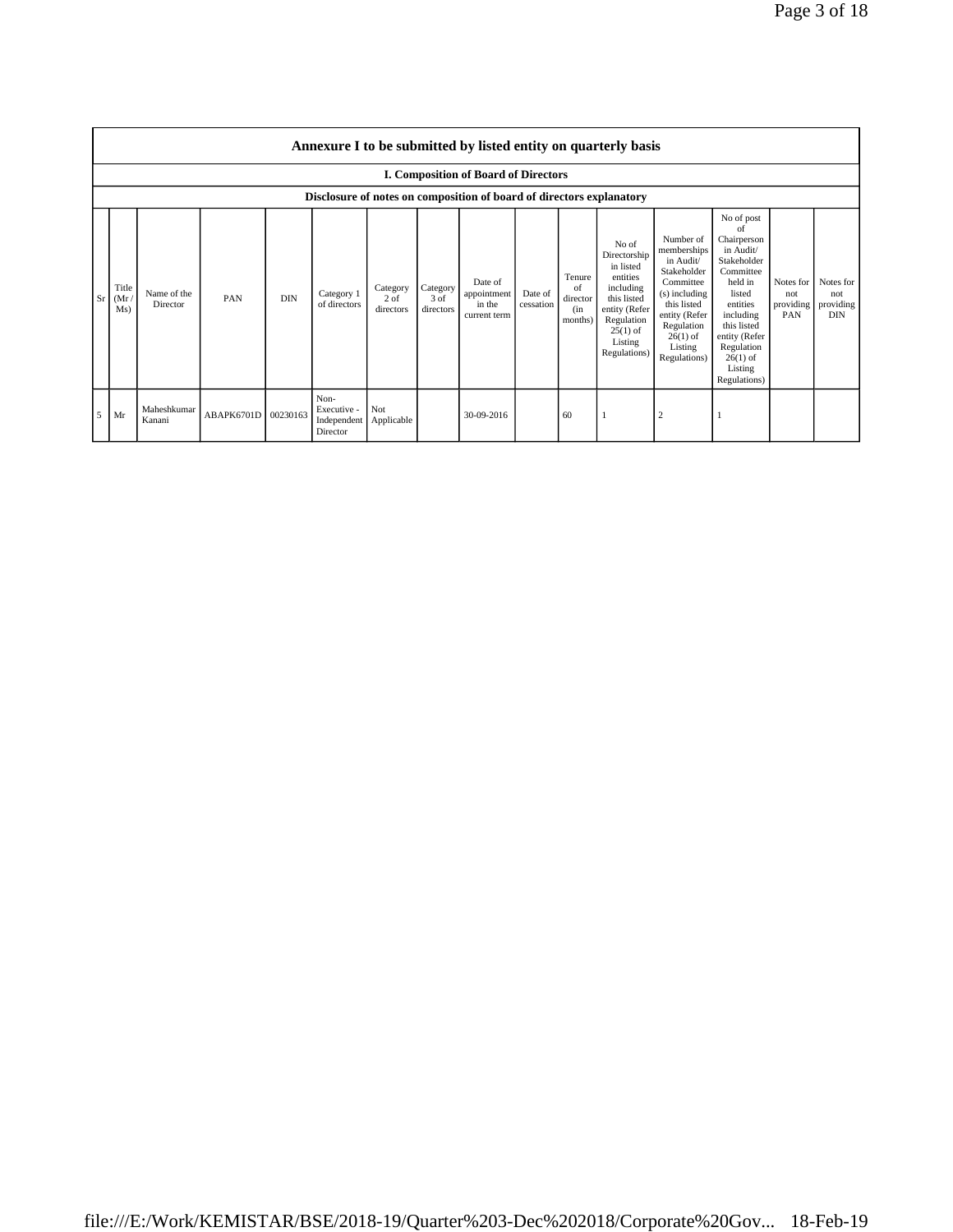|                | Annexure I to be submitted by listed entity on quarterly basis |                         |                     |            |                                                |                                 |                               |                                                                      |                      |                                             |                                                                                                                                                    |                                                                                                                                                                           |                                                                                                                                                                                                               |                                      |                                             |
|----------------|----------------------------------------------------------------|-------------------------|---------------------|------------|------------------------------------------------|---------------------------------|-------------------------------|----------------------------------------------------------------------|----------------------|---------------------------------------------|----------------------------------------------------------------------------------------------------------------------------------------------------|---------------------------------------------------------------------------------------------------------------------------------------------------------------------------|---------------------------------------------------------------------------------------------------------------------------------------------------------------------------------------------------------------|--------------------------------------|---------------------------------------------|
|                |                                                                |                         |                     |            |                                                |                                 |                               | <b>I. Composition of Board of Directors</b>                          |                      |                                             |                                                                                                                                                    |                                                                                                                                                                           |                                                                                                                                                                                                               |                                      |                                             |
|                |                                                                |                         |                     |            |                                                |                                 |                               | Disclosure of notes on composition of board of directors explanatory |                      |                                             |                                                                                                                                                    |                                                                                                                                                                           |                                                                                                                                                                                                               |                                      |                                             |
| Sr             | Title<br>(Mr)<br>Ms)                                           | Name of the<br>Director | <b>PAN</b>          | <b>DIN</b> | Category 1<br>of directors                     | Category<br>$2$ of<br>directors | Category<br>3 of<br>directors | Date of<br>appointment<br>in the<br>current term                     | Date of<br>cessation | Tenure<br>of<br>director<br>(in)<br>months) | No of<br>Directorship<br>in listed<br>entities<br>including<br>this listed<br>entity (Refer<br>Regulation<br>$25(1)$ of<br>Listing<br>Regulations) | Number of<br>memberships<br>in Audit/<br>Stakeholder<br>Committee<br>(s) including<br>this listed<br>entity (Refer<br>Regulation<br>$26(1)$ of<br>Listing<br>Regulations) | No of post<br>of<br>Chairperson<br>in Audit/<br>Stakeholder<br>Committee<br>held in<br>listed<br>entities<br>including<br>this listed<br>entity (Refer<br>Regulation<br>$26(1)$ of<br>Listing<br>Regulations) | Notes for<br>not<br>providing<br>PAN | Notes for<br>not<br>providing<br><b>DIN</b> |
| 5 <sub>5</sub> | Mr                                                             | Maheshkumar<br>Kanani   | ABAPK6701D 00230163 |            | Non-<br>Executive -<br>Independent<br>Director | Not<br>Applicable               |                               | 30-09-2016                                                           |                      | 60                                          |                                                                                                                                                    | $\overline{c}$                                                                                                                                                            |                                                                                                                                                                                                               |                                      |                                             |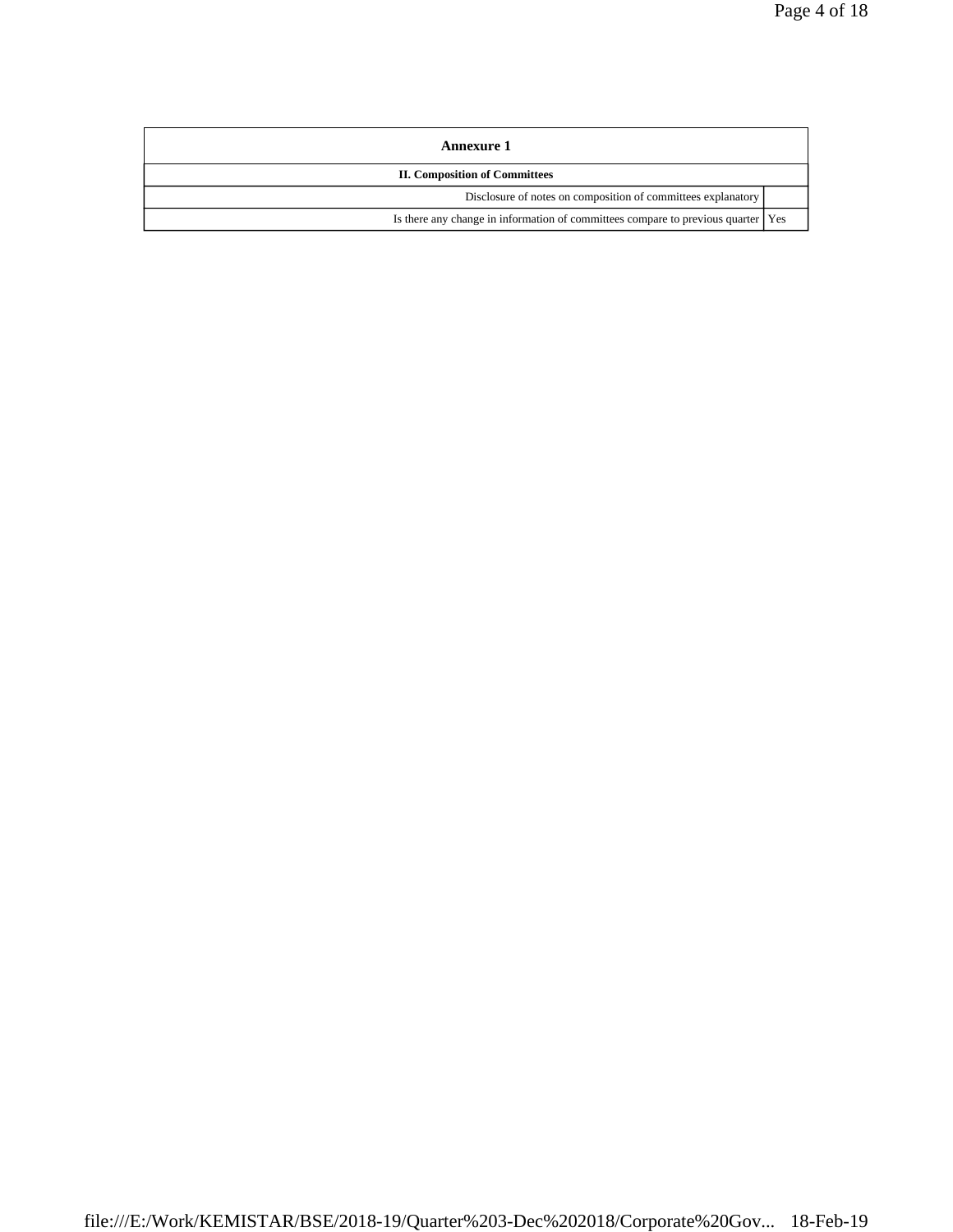| Annexure 1                                                                         |  |
|------------------------------------------------------------------------------------|--|
| <b>II. Composition of Committees</b>                                               |  |
| Disclosure of notes on composition of committees explanatory                       |  |
| Is there any change in information of committees compare to previous quarter   Yes |  |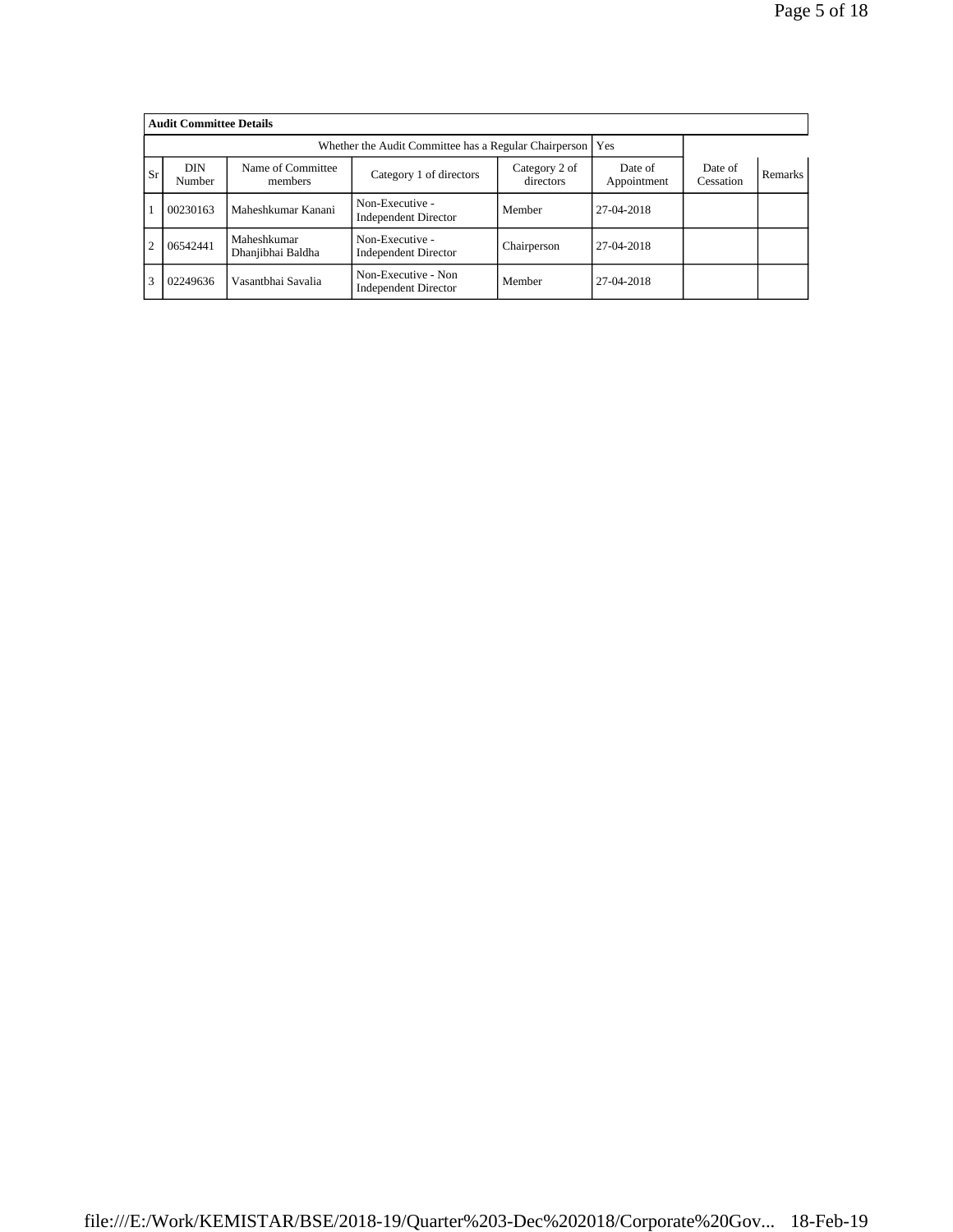|                | <b>Audit Committee Details</b>                                                                                                          |                                  |                                                    |             |            |  |         |  |  |  |  |  |
|----------------|-----------------------------------------------------------------------------------------------------------------------------------------|----------------------------------|----------------------------------------------------|-------------|------------|--|---------|--|--|--|--|--|
|                |                                                                                                                                         |                                  |                                                    |             |            |  |         |  |  |  |  |  |
| <b>Sr</b>      | <b>DIN</b><br>Name of Committee<br>Category 2 of<br>Date of<br>Category 1 of directors<br>directors<br>Appointment<br>Number<br>members |                                  |                                                    |             |            |  | Remarks |  |  |  |  |  |
|                | 00230163                                                                                                                                | Maheshkumar Kanani               | Non-Executive -<br><b>Independent Director</b>     | Member      | 27-04-2018 |  |         |  |  |  |  |  |
| $\overline{2}$ | 06542441                                                                                                                                | Maheshkumar<br>Dhanjibhai Baldha | Non-Executive -<br><b>Independent Director</b>     | Chairperson | 27-04-2018 |  |         |  |  |  |  |  |
| 3              | 02249636                                                                                                                                | Vasantbhai Savalia               | Non-Executive - Non<br><b>Independent Director</b> | Member      | 27-04-2018 |  |         |  |  |  |  |  |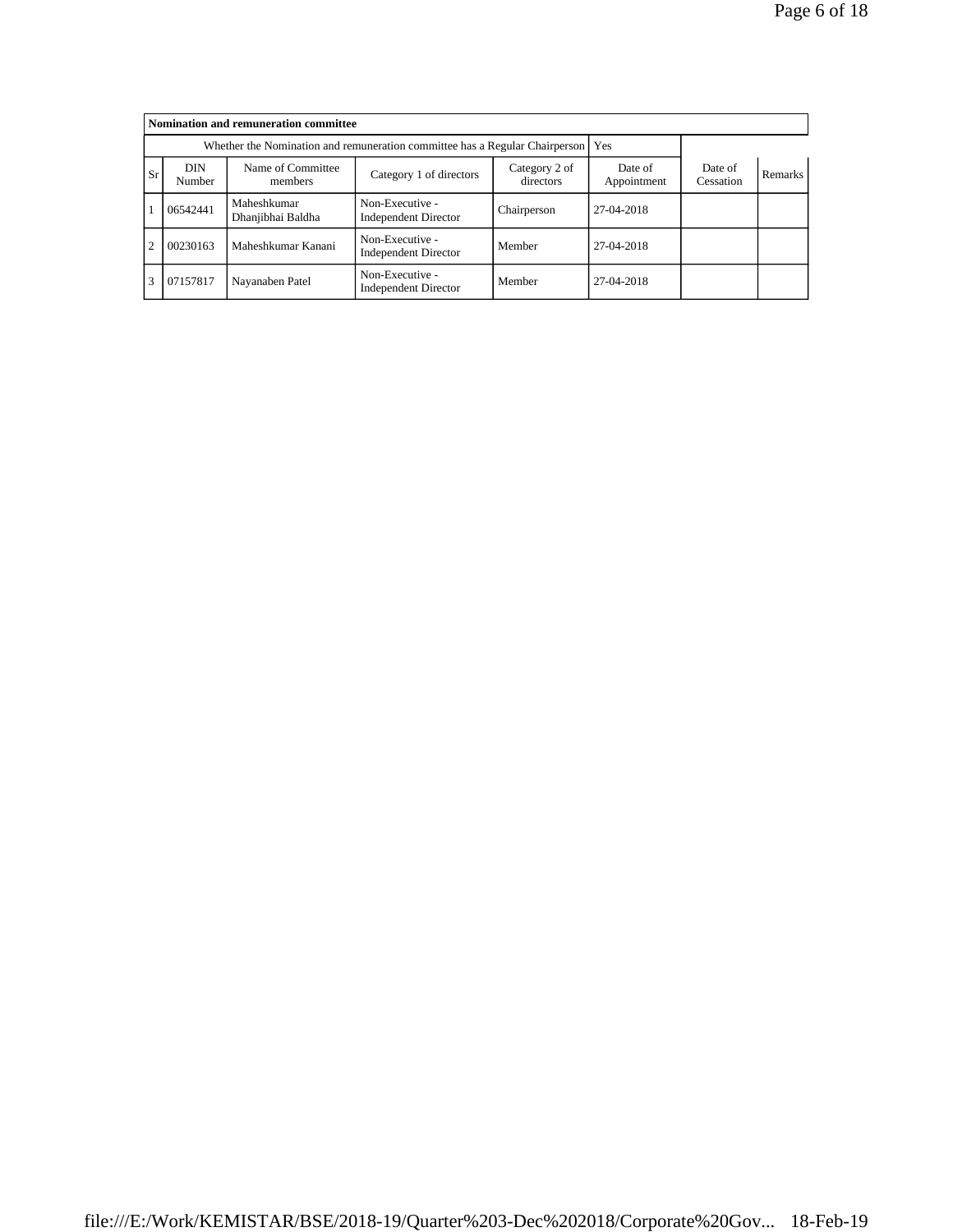|                                                                                              | Nomination and remuneration committee                                             |                                  |                                                |             |            |  |  |  |  |  |  |  |
|----------------------------------------------------------------------------------------------|-----------------------------------------------------------------------------------|----------------------------------|------------------------------------------------|-------------|------------|--|--|--|--|--|--|--|
|                                                                                              | Whether the Nomination and remuneration committee has a Regular Chairperson   Yes |                                  |                                                |             |            |  |  |  |  |  |  |  |
| <b>Sr</b>                                                                                    | <b>DIN</b><br>Number                                                              | Date of<br>Cessation             | Remarks                                        |             |            |  |  |  |  |  |  |  |
|                                                                                              | 06542441                                                                          | Maheshkumar<br>Dhanjibhai Baldha | Non-Executive -<br><b>Independent Director</b> | Chairperson | 27-04-2018 |  |  |  |  |  |  |  |
| $\overline{2}$                                                                               | 00230163                                                                          | Maheshkumar Kanani               | Non-Executive -<br><b>Independent Director</b> | Member      | 27-04-2018 |  |  |  |  |  |  |  |
| Non-Executive -<br>3<br>07157817<br>Nayanaben Patel<br>Member<br><b>Independent Director</b> |                                                                                   |                                  |                                                |             | 27-04-2018 |  |  |  |  |  |  |  |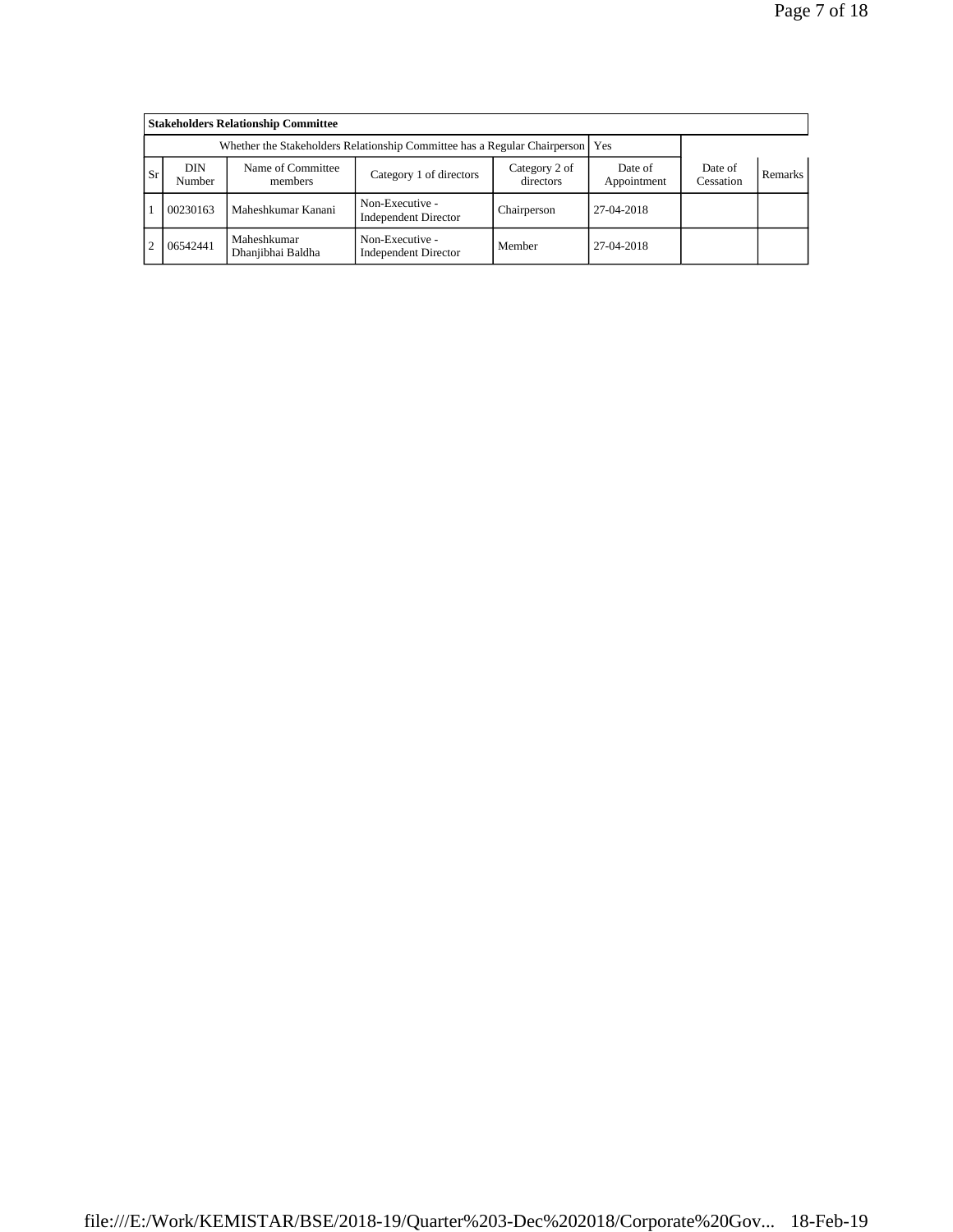|                | <b>Stakeholders Relationship Committee</b>                                      |                                  |                                                |                      |            |  |  |  |  |  |  |  |
|----------------|---------------------------------------------------------------------------------|----------------------------------|------------------------------------------------|----------------------|------------|--|--|--|--|--|--|--|
|                | Whether the Stakeholders Relationship Committee has a Regular Chairperson   Yes |                                  |                                                |                      |            |  |  |  |  |  |  |  |
| <b>Sr</b>      | DIN<br>Number                                                                   | Name of Committee<br>members     | Date of<br>Appointment                         | Date of<br>Cessation | Remarks    |  |  |  |  |  |  |  |
|                | 00230163                                                                        | Maheshkumar Kanani               | Non-Executive -<br><b>Independent Director</b> | Chairperson          | 27-04-2018 |  |  |  |  |  |  |  |
| $\overline{2}$ | 06542441                                                                        | Maheshkumar<br>Dhanjibhai Baldha | Non-Executive -<br><b>Independent Director</b> | Member               | 27-04-2018 |  |  |  |  |  |  |  |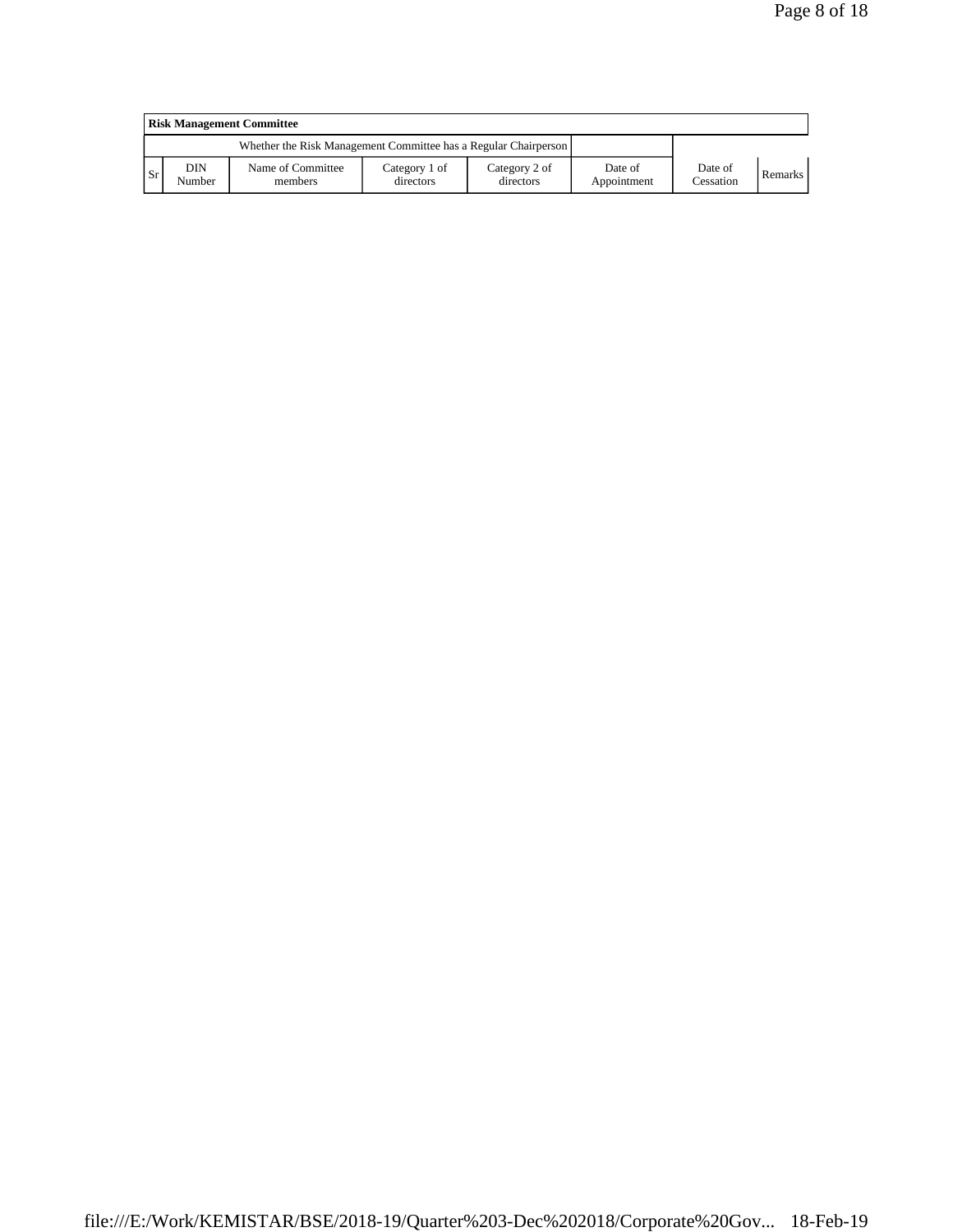|           | <b>Risk Management Committee</b> |                                                                 |                            |                            |                        |                      |                |  |  |  |  |
|-----------|----------------------------------|-----------------------------------------------------------------|----------------------------|----------------------------|------------------------|----------------------|----------------|--|--|--|--|
|           |                                  | Whether the Risk Management Committee has a Regular Chairperson |                            |                            |                        |                      |                |  |  |  |  |
| <b>Sr</b> | DIN<br>Number                    | Name of Committee<br>members                                    | Category 1 of<br>directors | Category 2 of<br>directors | Date of<br>Appointment | Date of<br>Cessation | <b>Remarks</b> |  |  |  |  |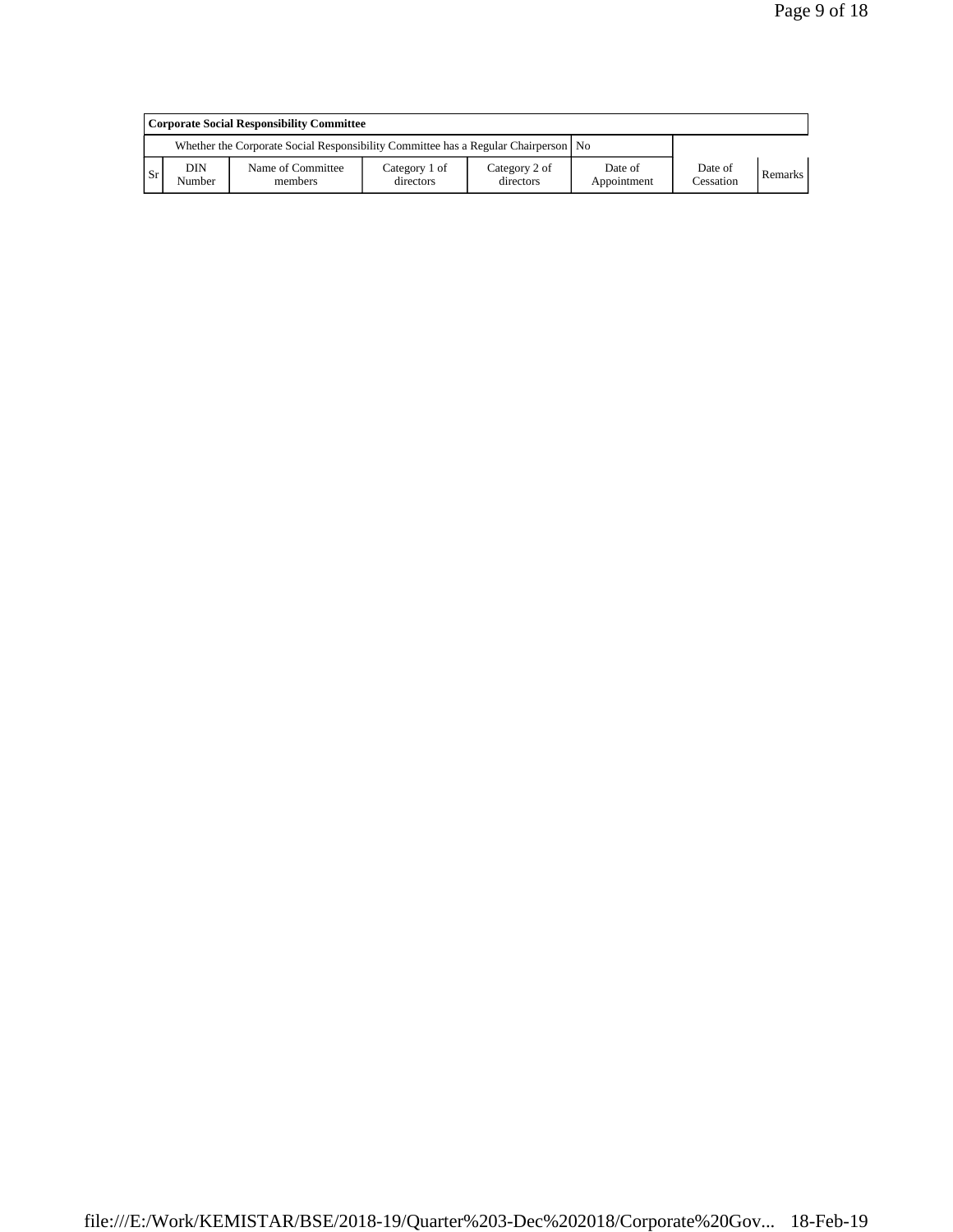|           | Corporate Social Responsibility Committee |                                                                                      |                            |                            |                        |                      |         |  |  |  |  |
|-----------|-------------------------------------------|--------------------------------------------------------------------------------------|----------------------------|----------------------------|------------------------|----------------------|---------|--|--|--|--|
|           |                                           | Whether the Corporate Social Responsibility Committee has a Regular Chairperson   No |                            |                            |                        |                      |         |  |  |  |  |
| <b>Sr</b> | <b>DIN</b><br>Number                      | Name of Committee<br>members                                                         | Category 1 of<br>directors | Category 2 of<br>directors | Date of<br>Appointment | Date of<br>Cessation | Remarks |  |  |  |  |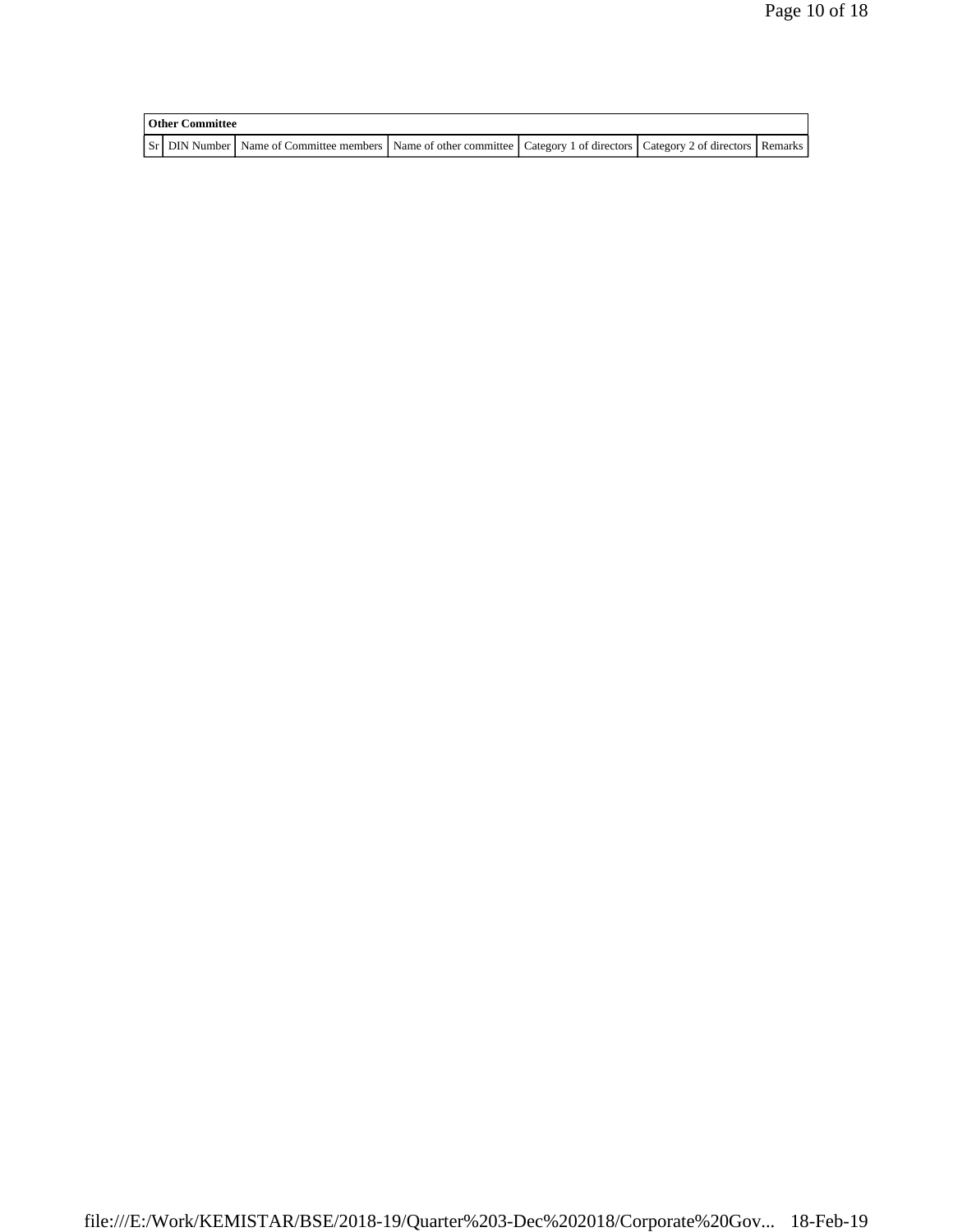| <b>Other Committee</b> |                                                                                                                         |  |  |  |  |  |  |
|------------------------|-------------------------------------------------------------------------------------------------------------------------|--|--|--|--|--|--|
|                        | Sr DIN Number Name of Committee members Name of other committee Category 1 of directors Category 2 of directors Remarks |  |  |  |  |  |  |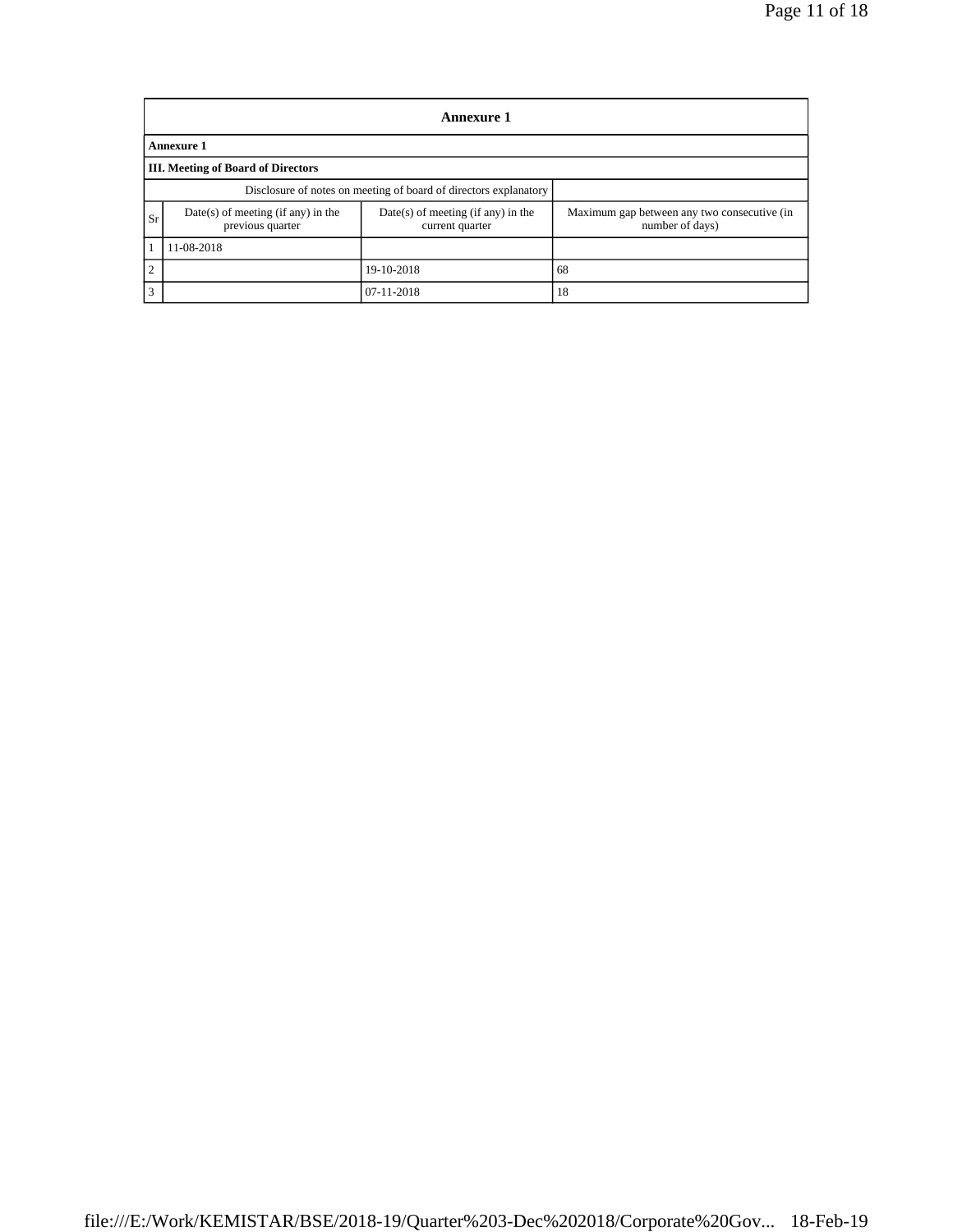|                | <b>Annexure 1</b>                                                |                                                         |                                                                |  |  |  |  |  |  |  |  |
|----------------|------------------------------------------------------------------|---------------------------------------------------------|----------------------------------------------------------------|--|--|--|--|--|--|--|--|
|                | <b>Annexure 1</b>                                                |                                                         |                                                                |  |  |  |  |  |  |  |  |
|                | III. Meeting of Board of Directors                               |                                                         |                                                                |  |  |  |  |  |  |  |  |
|                | Disclosure of notes on meeting of board of directors explanatory |                                                         |                                                                |  |  |  |  |  |  |  |  |
| Sr             | $Date(s)$ of meeting (if any) in the<br>previous quarter         | $Date(s)$ of meeting (if any) in the<br>current quarter | Maximum gap between any two consecutive (in<br>number of days) |  |  |  |  |  |  |  |  |
|                | 11-08-2018                                                       |                                                         |                                                                |  |  |  |  |  |  |  |  |
| $\overline{2}$ |                                                                  | 68                                                      |                                                                |  |  |  |  |  |  |  |  |
| 3              |                                                                  | 07-11-2018                                              | 18                                                             |  |  |  |  |  |  |  |  |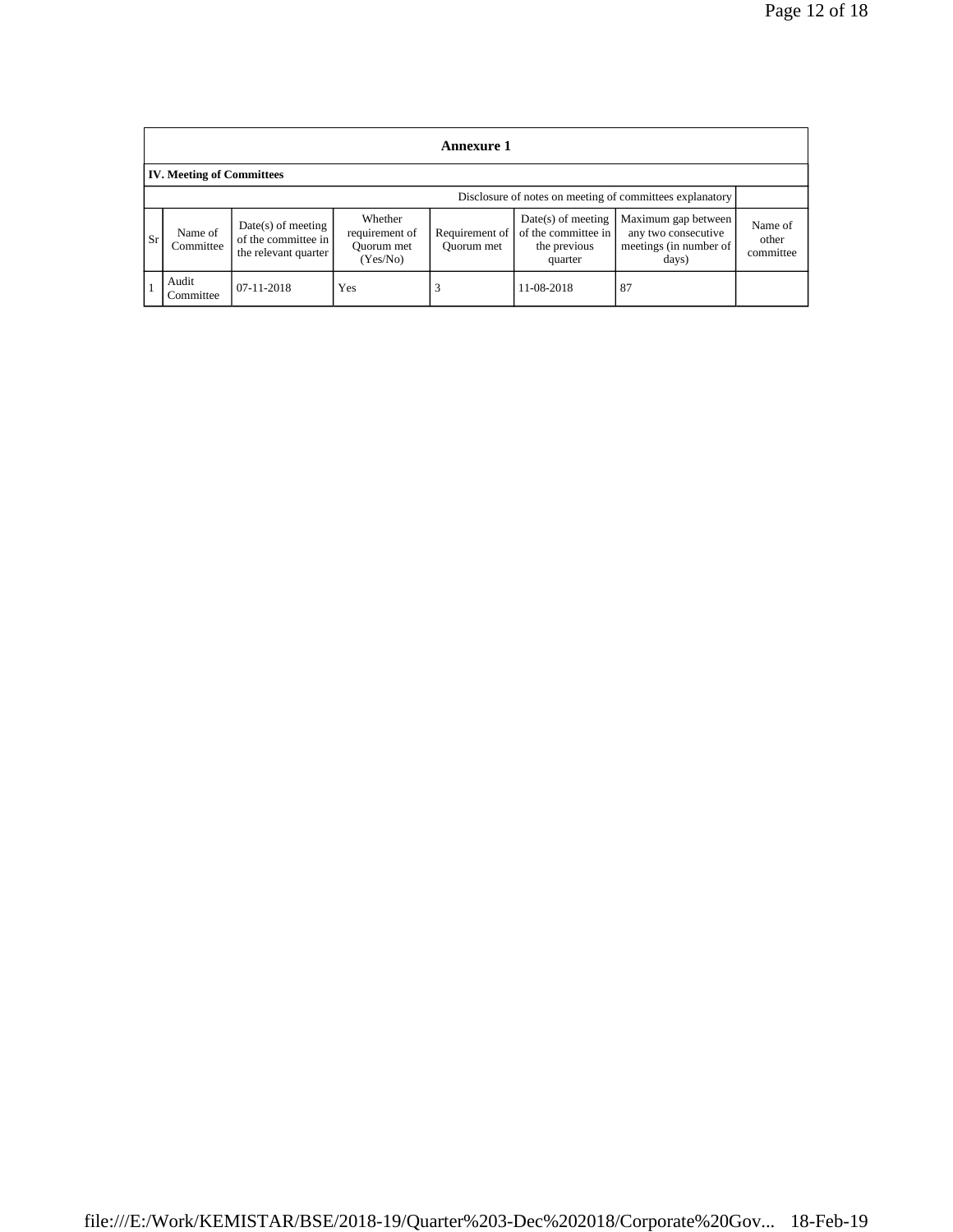| Annexure 1                       |                                                          |                                                                     |                                                     |                              |                                                                        |                                                                               |                               |  |  |  |
|----------------------------------|----------------------------------------------------------|---------------------------------------------------------------------|-----------------------------------------------------|------------------------------|------------------------------------------------------------------------|-------------------------------------------------------------------------------|-------------------------------|--|--|--|
| <b>IV. Meeting of Committees</b> |                                                          |                                                                     |                                                     |                              |                                                                        |                                                                               |                               |  |  |  |
|                                  | Disclosure of notes on meeting of committees explanatory |                                                                     |                                                     |                              |                                                                        |                                                                               |                               |  |  |  |
| <b>Sr</b>                        | Name of<br>Committee                                     | $Date(s)$ of meeting<br>of the committee in<br>the relevant quarter | Whether<br>requirement of<br>Quorum met<br>(Yes/No) | Requirement of<br>Ouorum met | $Date(s)$ of meeting<br>of the committee in<br>the previous<br>quarter | Maximum gap between<br>any two consecutive<br>meetings (in number of<br>days) | Name of<br>other<br>committee |  |  |  |
|                                  | Audit<br>Committee                                       | 07-11-2018                                                          | Yes                                                 |                              | 11-08-2018                                                             | 87                                                                            |                               |  |  |  |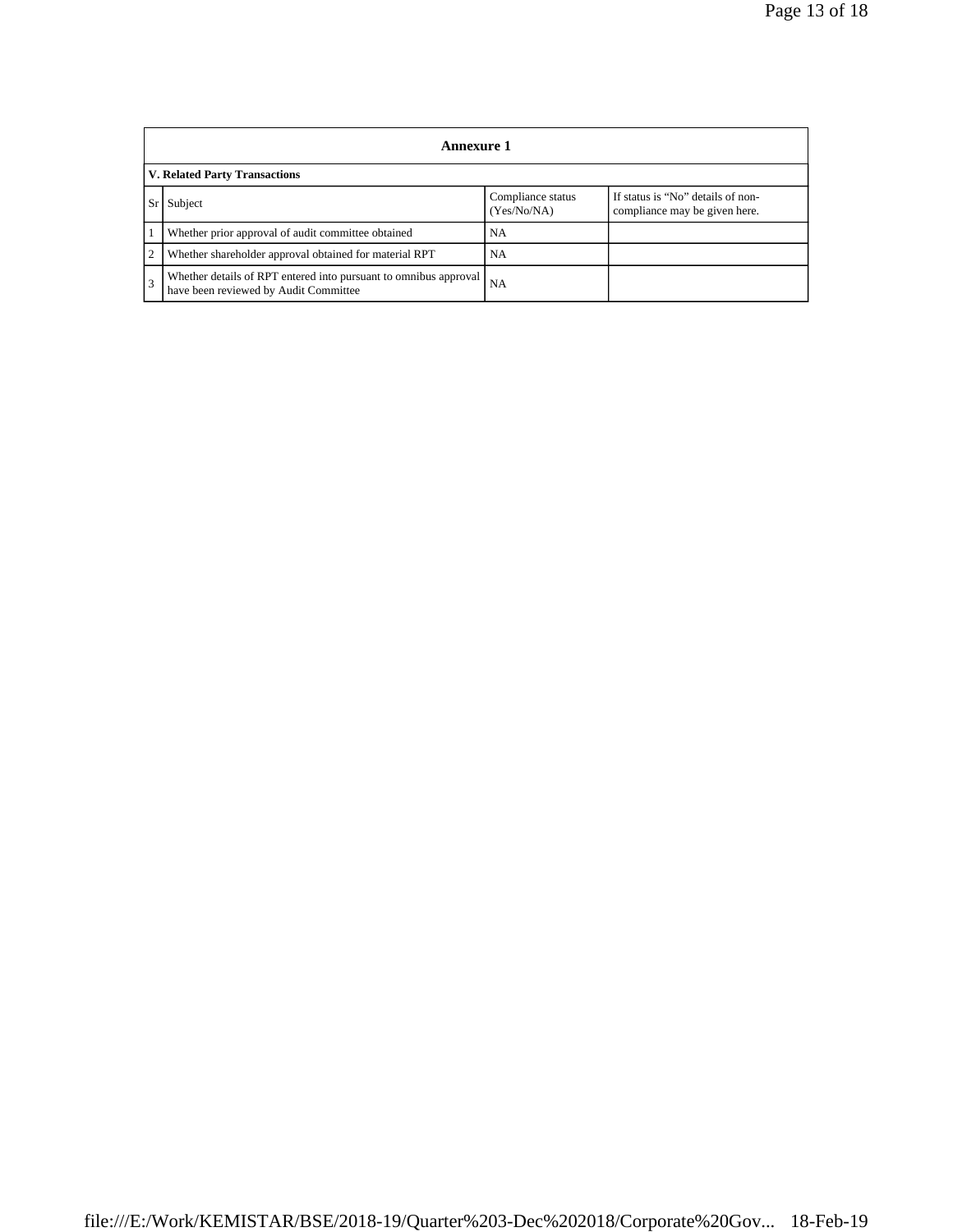|                                      | Annexure 1                                                                                                |                                  |                                                                    |  |  |  |
|--------------------------------------|-----------------------------------------------------------------------------------------------------------|----------------------------------|--------------------------------------------------------------------|--|--|--|
| <b>V. Related Party Transactions</b> |                                                                                                           |                                  |                                                                    |  |  |  |
|                                      | Subject                                                                                                   | Compliance status<br>(Yes/No/NA) | If status is "No" details of non-<br>compliance may be given here. |  |  |  |
|                                      | Whether prior approval of audit committee obtained                                                        | <b>NA</b>                        |                                                                    |  |  |  |
| $\overline{2}$                       | Whether shareholder approval obtained for material RPT                                                    | <b>NA</b>                        |                                                                    |  |  |  |
| 3                                    | Whether details of RPT entered into pursuant to omnibus approval<br>have been reviewed by Audit Committee | <b>NA</b>                        |                                                                    |  |  |  |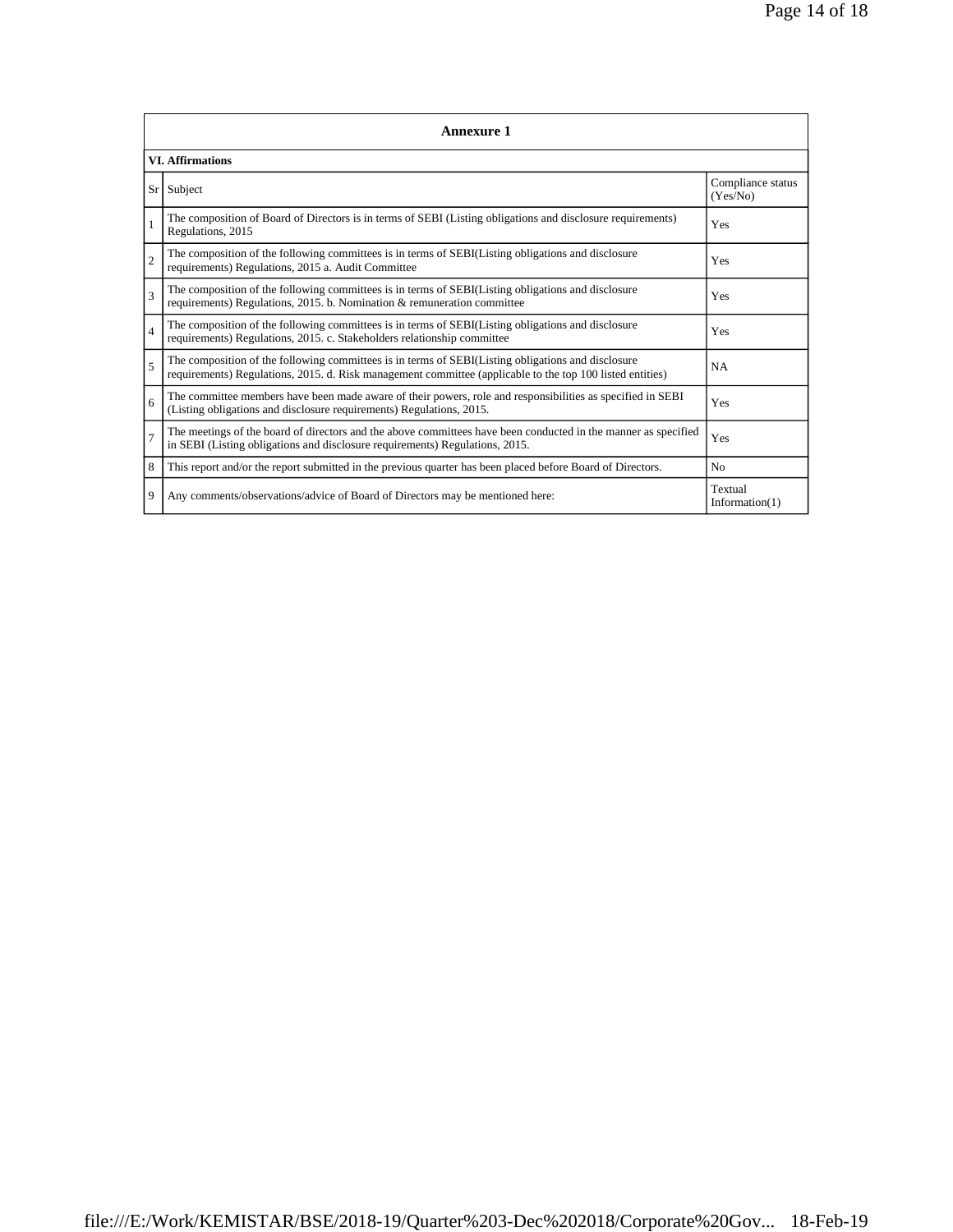|                         | <b>Annexure 1</b>                                                                                                                                                                                               |                              |  |  |  |
|-------------------------|-----------------------------------------------------------------------------------------------------------------------------------------------------------------------------------------------------------------|------------------------------|--|--|--|
| <b>VI.</b> Affirmations |                                                                                                                                                                                                                 |                              |  |  |  |
| Sr <sup>1</sup>         | Subject                                                                                                                                                                                                         |                              |  |  |  |
| $\mathbf{1}$            | The composition of Board of Directors is in terms of SEBI (Listing obligations and disclosure requirements)<br>Regulations, 2015                                                                                |                              |  |  |  |
| $\overline{c}$          | The composition of the following committees is in terms of SEBI(Listing obligations and disclosure<br>requirements) Regulations, 2015 a. Audit Committee                                                        | Yes                          |  |  |  |
| 3                       | The composition of the following committees is in terms of SEBI(Listing obligations and disclosure<br>requirements) Regulations, 2015. b. Nomination & remuneration committee                                   |                              |  |  |  |
| $\overline{4}$          | The composition of the following committees is in terms of SEBI(Listing obligations and disclosure<br>requirements) Regulations, 2015. c. Stakeholders relationship committee                                   | Yes                          |  |  |  |
| 5                       | The composition of the following committees is in terms of SEBI(Listing obligations and disclosure<br>requirements) Regulations, 2015. d. Risk management committee (applicable to the top 100 listed entities) |                              |  |  |  |
| 6                       | The committee members have been made aware of their powers, role and responsibilities as specified in SEBI<br>(Listing obligations and disclosure requirements) Regulations, 2015.                              | Yes                          |  |  |  |
| $\overline{7}$          | The meetings of the board of directors and the above committees have been conducted in the manner as specified<br>in SEBI (Listing obligations and disclosure requirements) Regulations, 2015.                  |                              |  |  |  |
| 8                       | This report and/or the report submitted in the previous quarter has been placed before Board of Directors.                                                                                                      | N <sub>o</sub>               |  |  |  |
| 9                       | Any comments/observations/advice of Board of Directors may be mentioned here:                                                                                                                                   | Textual<br>Information $(1)$ |  |  |  |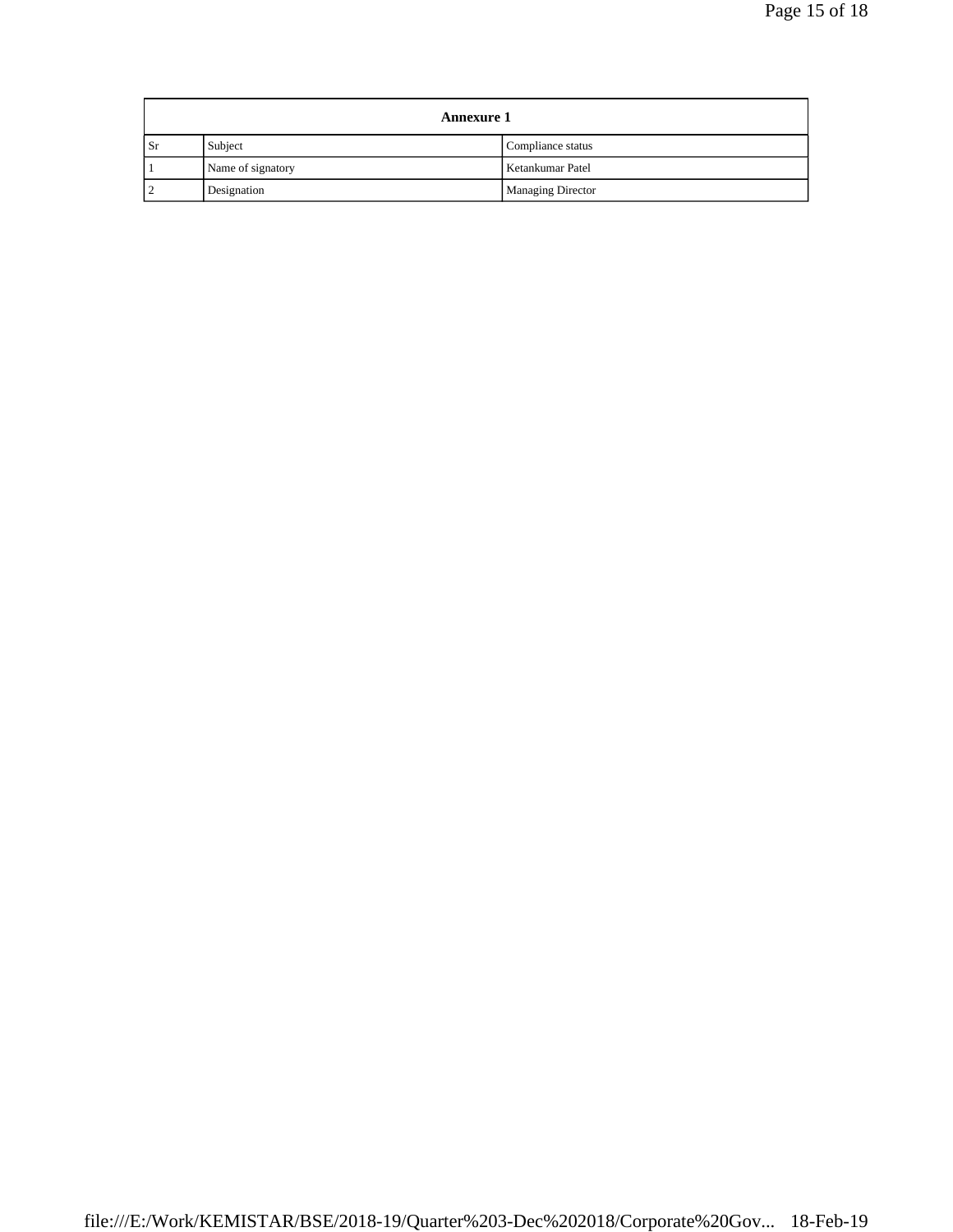| <b>Annexure 1</b> |                   |                          |
|-------------------|-------------------|--------------------------|
| Sr                | Subject           | Compliance status        |
|                   | Name of signatory | Ketankumar Patel         |
|                   | Designation       | <b>Managing Director</b> |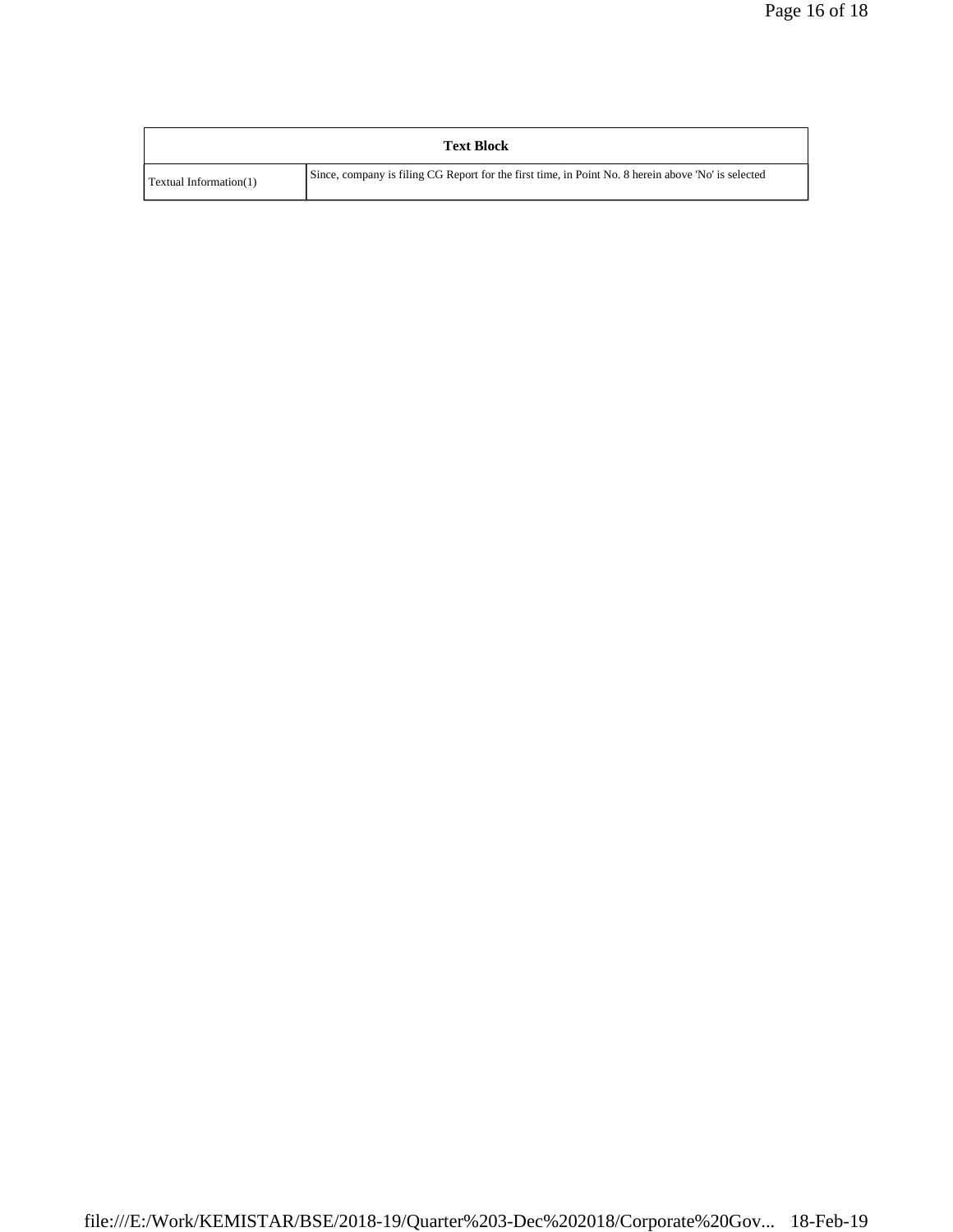| <b>Text Block</b>      |                                                                                                     |  |  |
|------------------------|-----------------------------------------------------------------------------------------------------|--|--|
| Textual Information(1) | Since, company is filing CG Report for the first time, in Point No. 8 herein above 'No' is selected |  |  |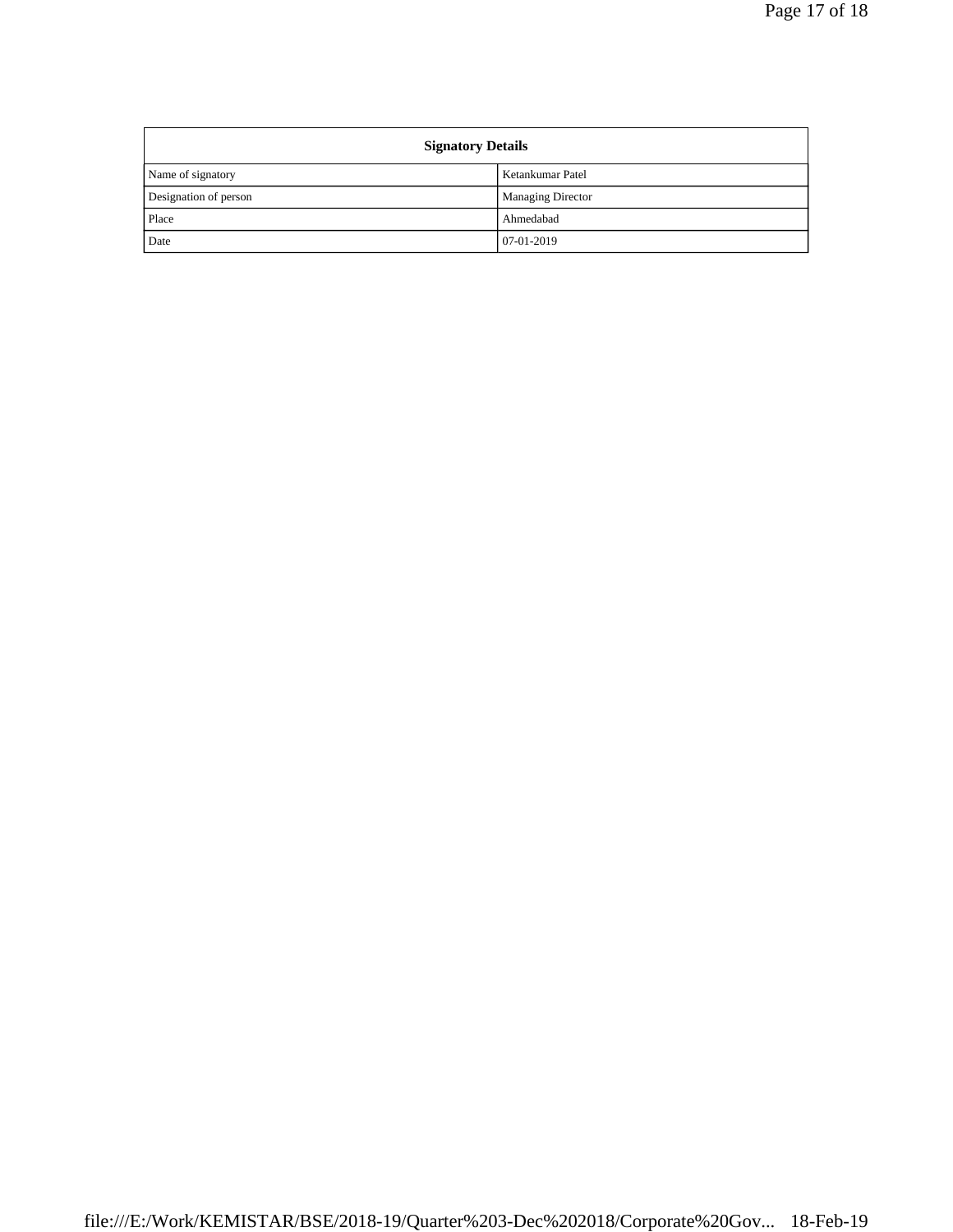| <b>Signatory Details</b> |                          |  |
|--------------------------|--------------------------|--|
| Name of signatory        | Ketankumar Patel         |  |
| Designation of person    | <b>Managing Director</b> |  |
| Place                    | Ahmedabad                |  |
| Date                     | 07-01-2019               |  |